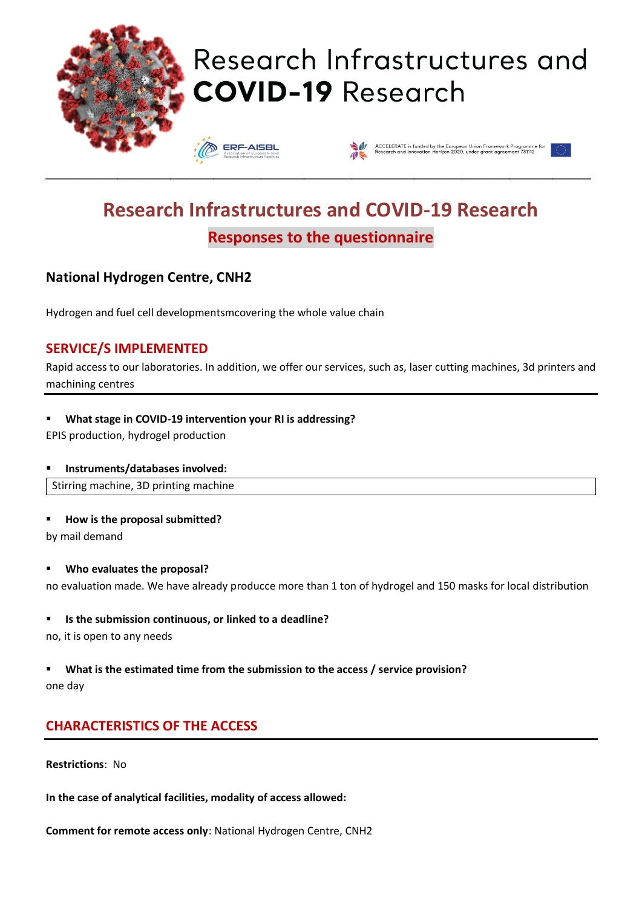

# Research Infrastructures and **COVID-19 Research**





# **Research Infrastructures and COVID-19 Research Responses to the questionnaire**

\_\_\_\_\_\_\_\_\_\_\_\_\_\_\_\_\_\_\_\_\_\_\_\_\_\_\_\_\_\_\_\_\_\_\_\_\_\_\_\_\_\_\_\_\_\_\_\_\_\_\_\_\_\_\_\_\_\_\_\_\_\_\_\_\_\_\_\_\_\_\_\_\_\_\_\_\_\_\_\_\_\_\_\_\_\_\_\_\_\_\_\_\_\_\_\_\_\_\_\_\_\_\_\_\_\_\_\_\_\_\_\_\_\_

## **National Hydrogen Centre, CNH2**

Hydrogen and fuel cell developmentsmcovering the whole value chain

### **SERVICE/S IMPLEMENTED**

Rapid access to our laboratories. In addition, we offer our services, such as, laser cutting machines, 3d printers and machining centres

#### ▪ **What stage in COVID-19 intervention your RI is addressing?**

EPIS production, hydrogel production

#### ▪ **Instruments/databases involved:**

Stirring machine, 3D printing machine

#### ▪ **How is the proposal submitted?**

by mail demand

#### ▪ **Who evaluates the proposal?**

no evaluation made. We have already producce more than 1 ton of hydrogel and 150 masks for local distribution

#### ▪ **Is the submission continuous, or linked to a deadline?**

no, it is open to any needs

#### What is the estimated time from the submission to the access / service provision? one day

## **CHARACTERISTICS OF THE ACCESS**

**Restrictions**: No

**In the case of analytical facilities, modality of access allowed:** 

**Comment for remote access only**: National Hydrogen Centre, CNH2